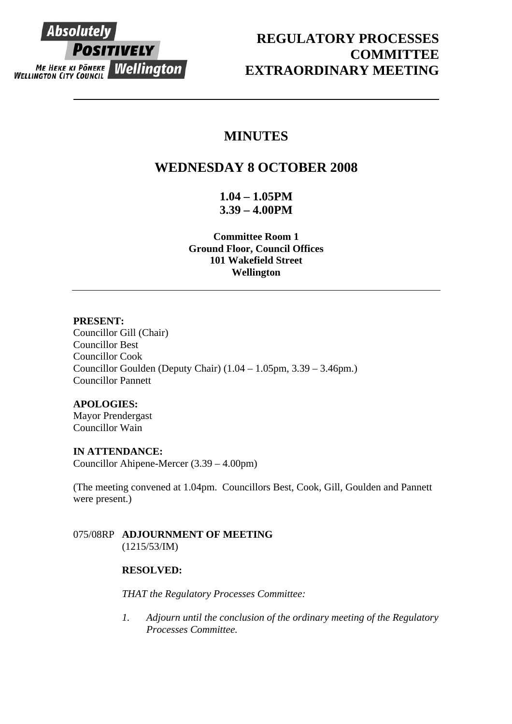

# **REGULATORY PROCESSES COMMITTEE EXTRAORDINARY MEETING**

# **MINUTES**

# **WEDNESDAY 8 OCTOBER 2008**

**1.04 – 1.05PM 3.39 – 4.00PM** 

**Committee Room 1 Ground Floor, Council Offices 101 Wakefield Street Wellington** 

### **PRESENT:**

Councillor Gill (Chair) Councillor Best Councillor Cook Councillor Goulden (Deputy Chair) (1.04 – 1.05pm, 3.39 – 3.46pm.) Councillor Pannett

#### **APOLOGIES:**

Mayor Prendergast Councillor Wain

### **IN ATTENDANCE:**

Councillor Ahipene-Mercer (3.39 – 4.00pm)

(The meeting convened at 1.04pm. Councillors Best, Cook, Gill, Goulden and Pannett were present.)

### 075/08RP **ADJOURNMENT OF MEETING**  (1215/53/IM)

# **RESOLVED:**

*THAT the Regulatory Processes Committee:* 

*1. Adjourn until the conclusion of the ordinary meeting of the Regulatory Processes Committee.*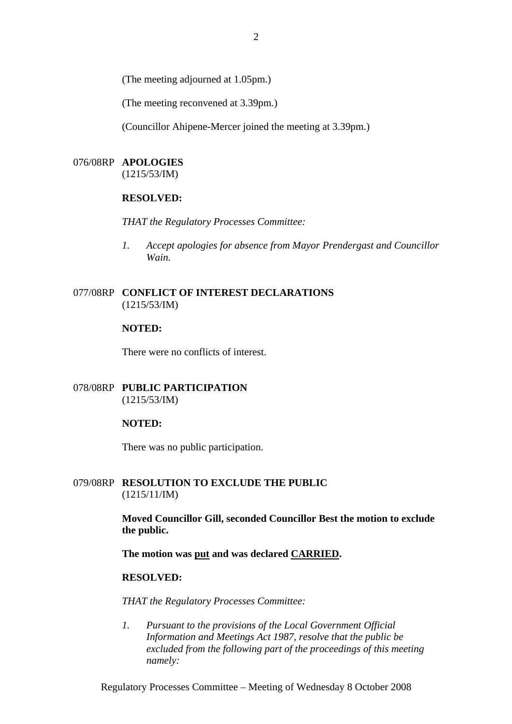(The meeting adjourned at 1.05pm.)

(The meeting reconvened at 3.39pm.)

(Councillor Ahipene-Mercer joined the meeting at 3.39pm.)

## 076/08RP **APOLOGIES**

(1215/53/IM)

#### **RESOLVED:**

*THAT the Regulatory Processes Committee:* 

*1. Accept apologies for absence from Mayor Prendergast and Councillor Wain.* 

### 077/08RP **CONFLICT OF INTEREST DECLARATIONS** (1215/53/IM)

#### **NOTED:**

There were no conflicts of interest.

078/08RP **PUBLIC PARTICIPATION** (1215/53/IM)

#### **NOTED:**

There was no public participation.

#### 079/08RP **RESOLUTION TO EXCLUDE THE PUBLIC** (1215/11/IM)

**Moved Councillor Gill, seconded Councillor Best the motion to exclude the public.** 

**The motion was put and was declared CARRIED.** 

#### **RESOLVED:**

*THAT the Regulatory Processes Committee:* 

*1. Pursuant to the provisions of the Local Government Official Information and Meetings Act 1987, resolve that the public be excluded from the following part of the proceedings of this meeting namely:* 

Regulatory Processes Committee – Meeting of Wednesday 8 October 2008